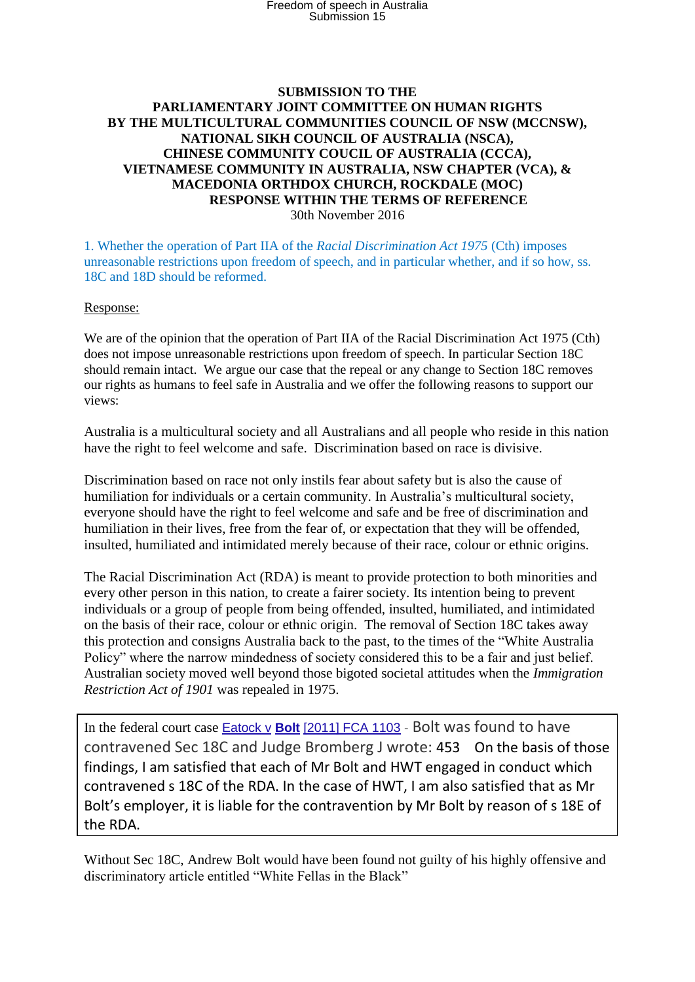## **SUBMISSION TO THE PARLIAMENTARY JOINT COMMITTEE ON HUMAN RIGHTS BY THE MULTICULTURAL COMMUNITIES COUNCIL OF NSW (MCCNSW), NATIONAL SIKH COUNCIL OF AUSTRALIA (NSCA), CHINESE COMMUNITY COUCIL OF AUSTRALIA (CCCA), VIETNAMESE COMMUNITY IN AUSTRALIA, NSW CHAPTER (VCA), & MACEDONIA ORTHDOX CHURCH, ROCKDALE (MOC) RESPONSE WITHIN THE TERMS OF REFERENCE** 30th November 2016

1. Whether the operation of Part IIA of the *Racial Discrimination Act 1975* (Cth) imposes unreasonable restrictions upon freedom of speech, and in particular whether, and if so how, ss. 18C and 18D should be reformed.

## Response:

We are of the opinion that the operation of Part IIA of the Racial Discrimination Act 1975 (Cth) does not impose unreasonable restrictions upon freedom of speech. In particular Section 18C should remain intact. We argue our case that the repeal or any change to Section 18C removes our rights as humans to feel safe in Australia and we offer the following reasons to support our views:

Australia is a multicultural society and all Australians and all people who reside in this nation have the right to feel welcome and safe. Discrimination based on race is divisive.

Discrimination based on race not only instils fear about safety but is also the cause of humiliation for individuals or a certain community. In Australia's multicultural society, everyone should have the right to feel welcome and safe and be free of discrimination and humiliation in their lives, free from the fear of, or expectation that they will be offended, insulted, humiliated and intimidated merely because of their race, colour or ethnic origins.

The Racial Discrimination Act (RDA) is meant to provide protection to both minorities and every other person in this nation, to create a fairer society. Its intention being to prevent individuals or a group of people from being offended, insulted, humiliated, and intimidated on the basis of their race, colour or ethnic origin. The removal of Section 18C takes away this protection and consigns Australia back to the past, to the times of the "White Australia Policy" where the narrow mindedness of society considered this to be a fair and just belief. Australian society moved well beyond those bigoted societal attitudes when the *Immigration Restriction Act of 1901* was repealed in 1975.

In the federal court case Eatock v **Bolt** [\[2011\] FCA 1103](http://www.fedcourt.gov.au/digital-law-library/judgments/judgment-summaries#20111103) - Bolt was found to have contravened Sec 18C and Judge Bromberg J wrote: 453 On the basis of those findings, I am satisfied that each of Mr Bolt and HWT engaged in conduct which contravened s 18C of the RDA. In the case of HWT, I am also satisfied that as Mr Bolt's employer, it is liable for the contravention by Mr Bolt by reason of s 18E of the RDA.

Without Sec 18C, Andrew Bolt would have been found not guilty of his highly offensive and discriminatory article entitled "White Fellas in the Black"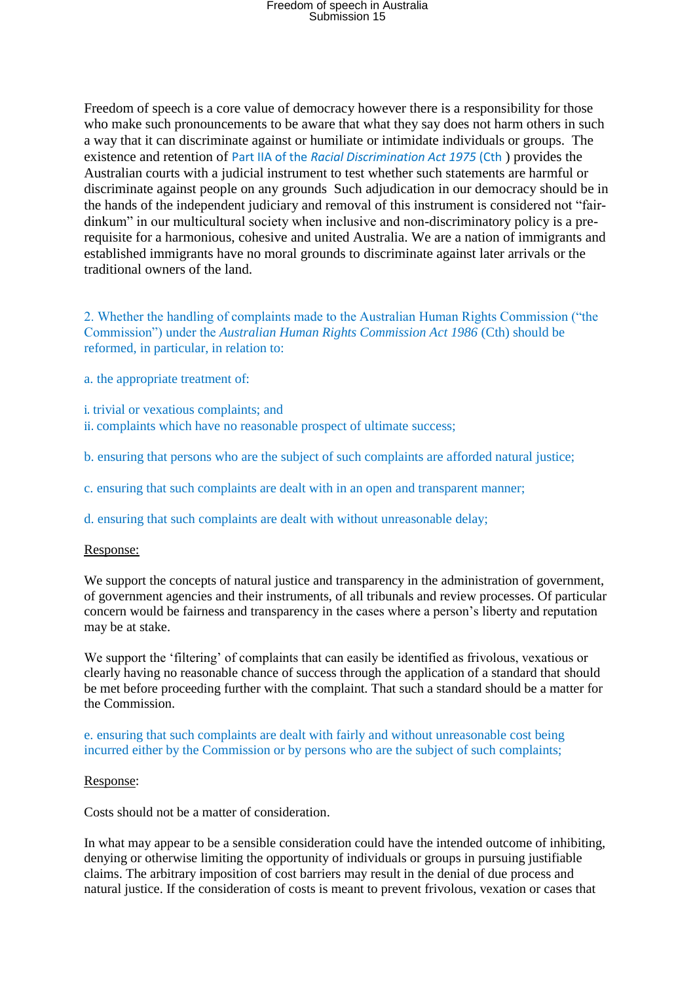# Freedom of speech in Australia Submission 15

Freedom of speech is a core value of democracy however there is a responsibility for those who make such pronouncements to be aware that what they say does not harm others in such a way that it can discriminate against or humiliate or intimidate individuals or groups. The existence and retention of Part IIA of the *Racial Discrimination Act 1975* (Cth ) provides the Australian courts with a judicial instrument to test whether such statements are harmful or discriminate against people on any grounds Such adjudication in our democracy should be in the hands of the independent judiciary and removal of this instrument is considered not "fairdinkum" in our multicultural society when inclusive and non-discriminatory policy is a prerequisite for a harmonious, cohesive and united Australia. We are a nation of immigrants and established immigrants have no moral grounds to discriminate against later arrivals or the traditional owners of the land.

2. Whether the handling of complaints made to the Australian Human Rights Commission ("the Commission") under the *Australian Human Rights Commission Act 1986* (Cth) should be reformed, in particular, in relation to:

- a. the appropriate treatment of:
- i. trivial or vexatious complaints; and ii. complaints which have no reasonable prospect of ultimate success;
- b. ensuring that persons who are the subject of such complaints are afforded natural justice;
- c. ensuring that such complaints are dealt with in an open and transparent manner;
- d. ensuring that such complaints are dealt with without unreasonable delay;

### Response:

We support the concepts of natural justice and transparency in the administration of government, of government agencies and their instruments, of all tribunals and review processes. Of particular concern would be fairness and transparency in the cases where a person's liberty and reputation may be at stake.

We support the 'filtering' of complaints that can easily be identified as frivolous, vexatious or clearly having no reasonable chance of success through the application of a standard that should be met before proceeding further with the complaint. That such a standard should be a matter for the Commission.

## e. ensuring that such complaints are dealt with fairly and without unreasonable cost being incurred either by the Commission or by persons who are the subject of such complaints;

#### Response:

Costs should not be a matter of consideration.

In what may appear to be a sensible consideration could have the intended outcome of inhibiting, denying or otherwise limiting the opportunity of individuals or groups in pursuing justifiable claims. The arbitrary imposition of cost barriers may result in the denial of due process and natural justice. If the consideration of costs is meant to prevent frivolous, vexation or cases that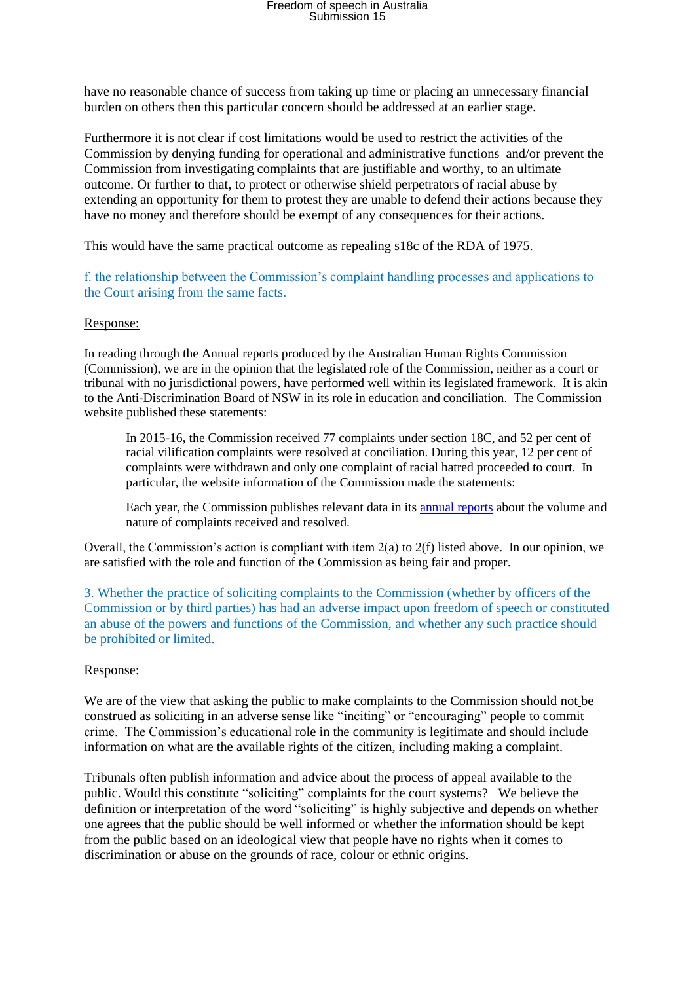# Freedom of speech in Australia Submission 15

have no reasonable chance of success from taking up time or placing an unnecessary financial burden on others then this particular concern should be addressed at an earlier stage.

Furthermore it is not clear if cost limitations would be used to restrict the activities of the Commission by denying funding for operational and administrative functions and/or prevent the Commission from investigating complaints that are justifiable and worthy, to an ultimate outcome. Or further to that, to protect or otherwise shield perpetrators of racial abuse by extending an opportunity for them to protest they are unable to defend their actions because they have no money and therefore should be exempt of any consequences for their actions.

This would have the same practical outcome as repealing s18c of the RDA of 1975.

f. the relationship between the Commission's complaint handling processes and applications to the Court arising from the same facts.

#### Response:

In reading through the Annual reports produced by the Australian Human Rights Commission (Commission), we are in the opinion that the legislated role of the Commission, neither as a court or tribunal with no jurisdictional powers, have performed well within its legislated framework. It is akin to the Anti-Discrimination Board of NSW in its role in education and conciliation. The Commission website published these statements:

In 2015-16**,** the Commission received 77 complaints under section 18C, and 52 per cent of racial vilification complaints were resolved at conciliation. During this year, 12 per cent of complaints were withdrawn and only one complaint of racial hatred proceeded to court. In particular, the website information of the Commission made the statements:

Each year, the Commission publishes relevant data in its [annual reports](https://www.humanrights.gov.au/our-work/commission-general/publications/annual-reports) about the volume and nature of complaints received and resolved.

Overall, the Commission's action is compliant with item 2(a) to 2(f) listed above. In our opinion, we are satisfied with the role and function of the Commission as being fair and proper.

3. Whether the practice of soliciting complaints to the Commission (whether by officers of the Commission or by third parties) has had an adverse impact upon freedom of speech or constituted an abuse of the powers and functions of the Commission, and whether any such practice should be prohibited or limited.

### Response:

We are of the view that asking the public to make complaints to the Commission should not be construed as soliciting in an adverse sense like "inciting" or "encouraging" people to commit crime. The Commission's educational role in the community is legitimate and should include information on what are the available rights of the citizen, including making a complaint.

Tribunals often publish information and advice about the process of appeal available to the public. Would this constitute "soliciting" complaints for the court systems? We believe the definition or interpretation of the word "soliciting" is highly subjective and depends on whether one agrees that the public should be well informed or whether the information should be kept from the public based on an ideological view that people have no rights when it comes to discrimination or abuse on the grounds of race, colour or ethnic origins.